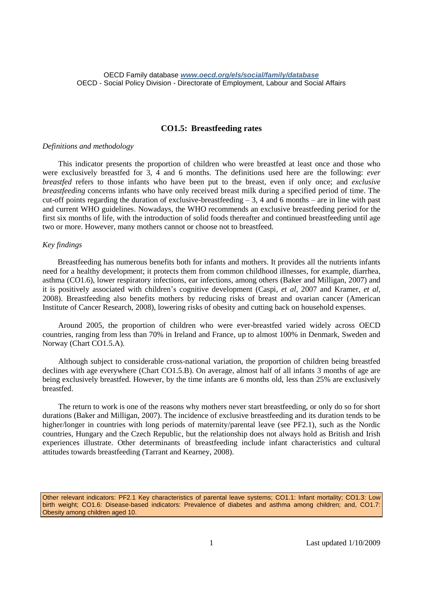# **CO1.5: Breastfeeding rates**

#### *Definitions and methodology*

This indicator presents the proportion of children who were breastfed at least once and those who were exclusively breastfed for 3, 4 and 6 months. The definitions used here are the following: *ever breastfed* refers to those infants who have been put to the breast, even if only once; and *exclusive breastfeeding* concerns infants who have only received breast milk during a specified period of time. The cut-off points regarding the duration of exclusive-breastfeeding  $-3$ , 4 and 6 months – are in line with past and current WHO guidelines. Nowadays, the WHO recommends an exclusive breastfeeding period for the first six months of life, with the introduction of solid foods thereafter and continued breastfeeding until age two or more. However, many mothers cannot or choose not to breastfeed.

## *Key findings*

Breastfeeding has numerous benefits both for infants and mothers. It provides all the nutrients infants need for a healthy development; it protects them from common childhood illnesses, for example, diarrhea, asthma (CO1.6), lower respiratory infections, ear infections, among others (Baker and Milligan, 2007) and it is positively associated with children's cognitive development (Caspi, *et al*, 2007 and Kramer, *et al,* 2008). Breastfeeding also benefits mothers by reducing risks of breast and ovarian cancer (American Institute of Cancer Research, 2008), lowering risks of obesity and cutting back on household expenses.

Around 2005, the proportion of children who were ever-breastfed varied widely across OECD countries, ranging from less than 70% in Ireland and France, up to almost 100% in Denmark, Sweden and Norway (Chart CO1.5.A).

Although subject to considerable cross-national variation, the proportion of children being breastfed declines with age everywhere (Chart CO1.5.B). On average, almost half of all infants 3 months of age are being exclusively breastfed. However, by the time infants are 6 months old, less than 25% are exclusively breastfed.

The return to work is one of the reasons why mothers never start breastfeeding, or only do so for short durations (Baker and Milligan, 2007). The incidence of exclusive breastfeeding and its duration tends to be higher/longer in countries with long periods of maternity/parental leave (see PF2.1), such as the Nordic countries, Hungary and the Czech Republic, but the relationship does not always hold as British and Irish experiences illustrate. Other determinants of breastfeeding include infant characteristics and cultural attitudes towards breastfeeding (Tarrant and Kearney, 2008).

Other relevant indicators: PF2.1 Key characteristics of parental leave systems; CO1.1: Infant mortality; CO1.3: Low birth weight; CO1.6: Disease-based indicators: Prevalence of diabetes and asthma among children; and, CO1.7: Obesity among children aged 10.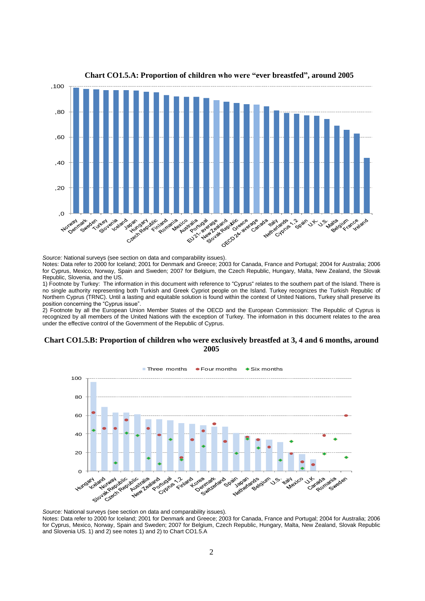

## **Chart CO1.5.A: Proportion of children who were "ever breastfed", around 2005**

*Source:* National surveys (see section on data and comparability issues).

Notes: Data refer to 2000 for Iceland; 2001 for Denmark and Greece; 2003 for Canada, France and Portugal; 2004 for Australia; 2006 for Cyprus, Mexico, Norway, Spain and Sweden; 2007 for Belgium, the Czech Republic, Hungary, Malta, New Zealand, the Slovak Republic, Slovenia, and the US.

1) Footnote by Turkey: The information in this document with reference to "Cyprus" relates to the southern part of the Island. There is no single authority representing both Turkish and Greek Cypriot people on the Island. Turkey recognizes the Turkish Republic of Northern Cyprus (TRNC). Until a lasting and equitable solution is found within the context of United Nations, Turkey shall preserve its position concerning the "Cyprus issue".

2) Footnote by all the European Union Member States of the OECD and the European Commission: The Republic of Cyprus is recognized by all members of the United Nations with the exception of Turkey. The information in this document relates to the area under the effective control of the Government of the Republic of Cyprus.

#### **Chart CO1.5.B: Proportion of children who were exclusively breastfed at 3, 4 and 6 months, around 2005**



*Source:* National surveys (see section on data and comparability issues).

Notes: Data refer to 2000 for Iceland; 2001 for Denmark and Greece; 2003 for Canada, France and Portugal; 2004 for Australia; 2006 for Cyprus, Mexico, Norway, Spain and Sweden; 2007 for Belgium, Czech Republic, Hungary, Malta, New Zealand, Slovak Republic and Slovenia US. 1) and 2) see notes 1) and 2) to Chart CO1.5.A